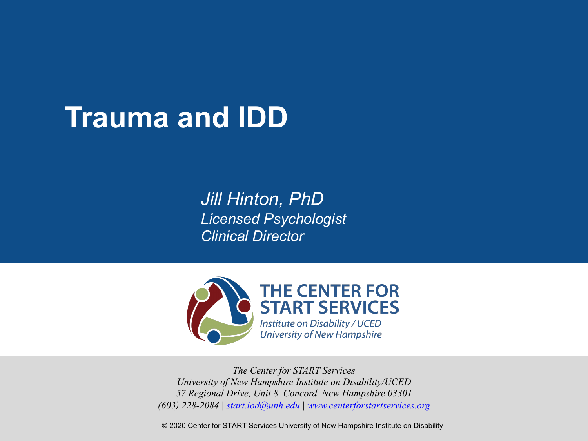## **Trauma and IDD**

*Jill [Hinton, P](mailto:start.iod@unh.edu)[hD](http://www.centerforstartservices.org/) Licensed Psychologist Clinical Director*



*The Center for START Services University of New Hampshire Institute on Disability/UCED 57 Regional Drive, Unit 8, Concord, New Hampshire 03301 (603) 228-2084 | start.iod@unh.edu | www.centerforstartservices.org*

© 2020 Center for START Services University of New Hampshire Institute on Disability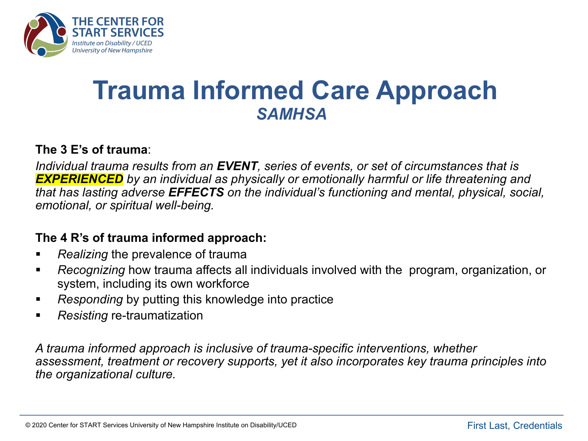

### **Trauma Informed Care Approach** *SAMHSA*

#### **The 3 E's of trauma**:

*Individual trauma results from an EVENT, series of events, or set of circumstances that is EXPERIENCED by an individual as physically or emotionally harmful or life threatening and that has lasting adverse EFFECTS on the individual's functioning and mental, physical, social, emotional, or spiritual well-being.* 

#### **The 4 R's of trauma informed approach:**

- § *Realizing* the prevalence of trauma
- § *Recognizing* how trauma affects all individuals involved with the program, organization, or system, including its own workforce
- *Responding* by putting this knowledge into practice
- *Resisting* re-traumatization

*A trauma informed approach is inclusive of trauma-specific interventions, whether assessment, treatment or recovery supports, yet it also incorporates key trauma principles into the organizational culture.*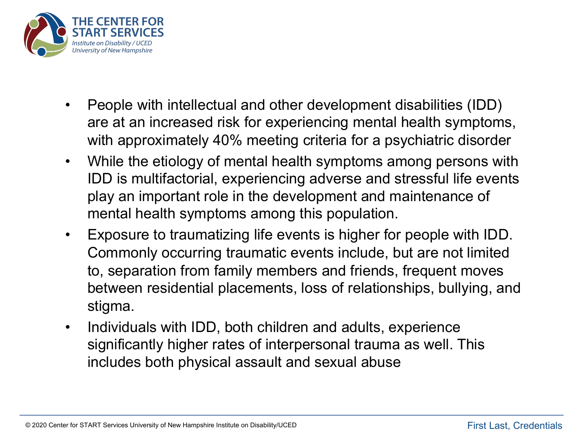

- People with intellectual and other development disabilities (IDD) are at an increased risk for experiencing mental health symptoms, with approximately 40% meeting criteria for a psychiatric disorder
- While the etiology of mental health symptoms among persons with IDD is multifactorial, experiencing adverse and stressful life events play an important role in the development and maintenance of mental health symptoms among this population.
- Exposure to traumatizing life events is higher for people with IDD. Commonly occurring traumatic events include, but are not limited to, separation from family members and friends, frequent moves between residential placements, loss of relationships, bullying, and stigma.
- Individuals with IDD, both children and adults, experience significantly higher rates of interpersonal trauma as well. This includes both physical assault and sexual abuse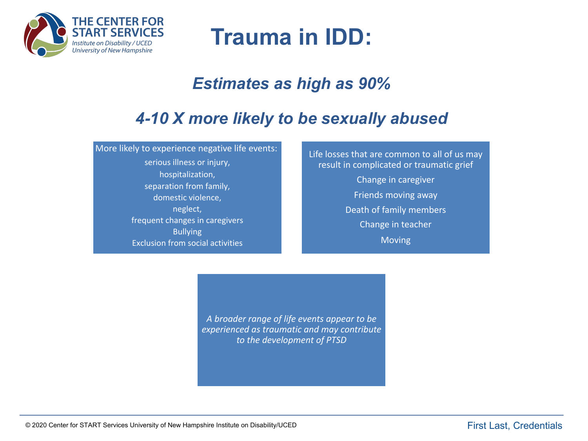

### **Trauma in IDD:**

### *Estimates as high as 90%*

### *4-10 X more likely to be sexually abused*

More likely to experience negative life events:

serious illness or injury, hospitalization, separation from family, domestic violence, neglect, frequent changes in caregivers Bullying Exclusion from social activities

Life losses that are common to all of us may result in complicated or traumatic grief Change in caregiver Friends moving away Death of family members Change in teacher Moving

*A broader range of life events appear to be experienced as traumatic and may contribute to the development of PTSD*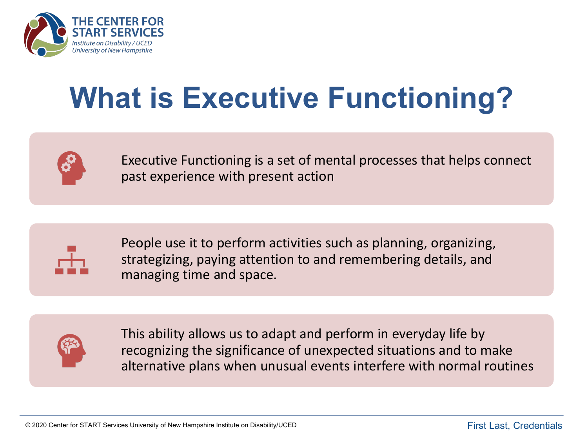

# **What is Executive Functioning?**



Executive Functioning is a set of mental processes that helps connect past experience with present action



People use it to perform activities such as planning, organizing, strategizing, paying attention to and remembering details, and managing time and space.



This ability allows us to adapt and perform in everyday life by recognizing the significance of unexpected situations and to make alternative plans when unusual events interfere with normal routines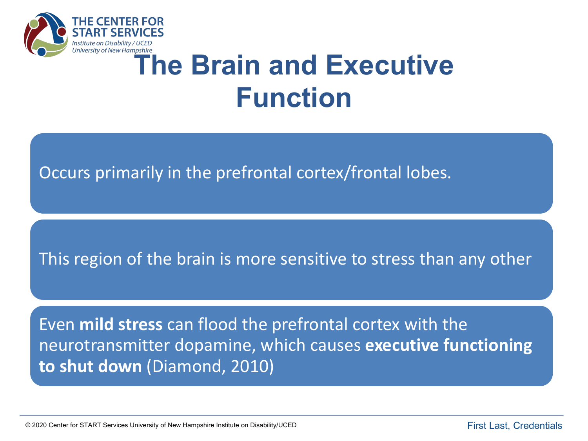

# **Iniversity of New Hampshire**<br> **The Brain and Executive Function**

Occurs primarily in the prefrontal cortex/frontal lobes.

This region of the brain is more sensitive to stress than any other

Even **mild stress** can flood the prefrontal cortex with the neurotransmitter dopamine, which causes **executive functioning to shut down** (Diamond, 2010)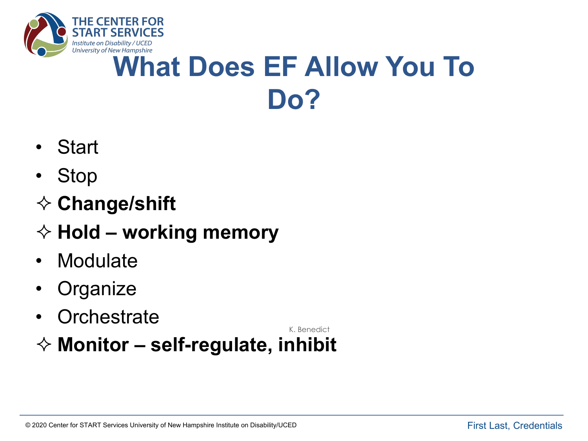

## **What Does EF Allow You To Do?**

- Start
- Stop
- **♦ Change/shift**
- ² **Hold – working memory**
- Modulate
- Organize
- Orchestrate

K. Benedict

² **Monitor – self-regulate, inhibit**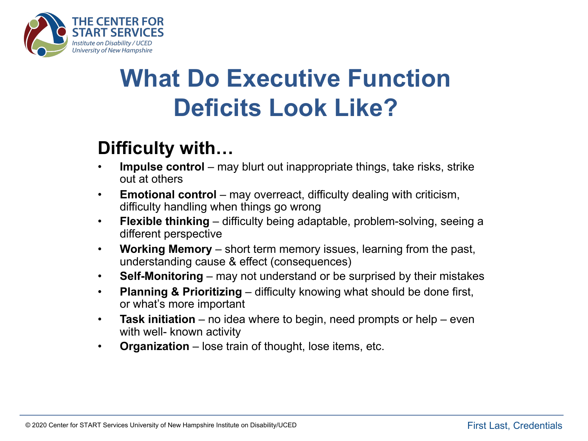

### **What Do Executive Function Deficits Look Like?**

### **Difficulty with…**

- **Impulse control** may blurt out inappropriate things, take risks, strike out at others
- **Emotional control** may overreact, difficulty dealing with criticism, difficulty handling when things go wrong
- **Flexible thinking**  difficulty being adaptable, problem-solving, seeing a different perspective
- **Working Memory**  short term memory issues, learning from the past, understanding cause & effect (consequences)
- **Self-Monitoring**  may not understand or be surprised by their mistakes
- **Planning & Prioritizing** difficulty knowing what should be done first, or what's more important
- **Task initiation**  no idea where to begin, need prompts or help even with well- known activity
- **Organization**  lose train of thought, lose items, etc.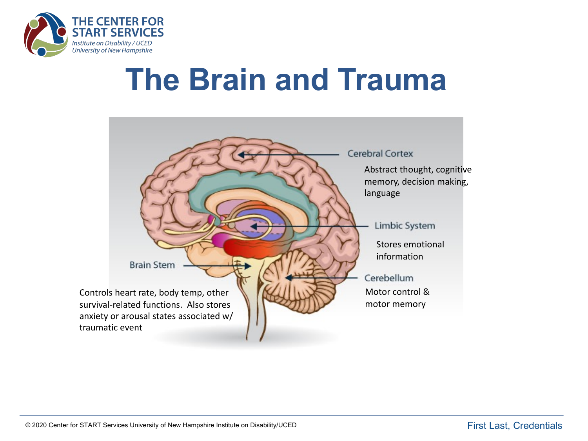

# **The Brain and Trauma**

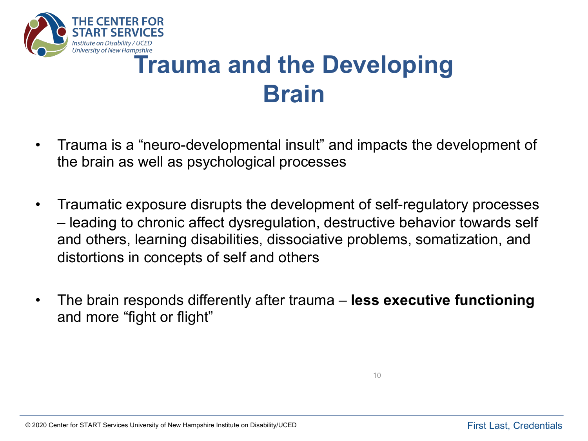

## **Trauma and the Developing Brain**

- Trauma is a "neuro-developmental insult" and impacts the development of the brain as well as psychological processes
- Traumatic exposure disrupts the development of self-regulatory processes – leading to chronic affect dysregulation, destructive behavior towards self and others, learning disabilities, dissociative problems, somatization, and distortions in concepts of self and others
- The brain responds differently after trauma **less executive functioning** and more "fight or flight"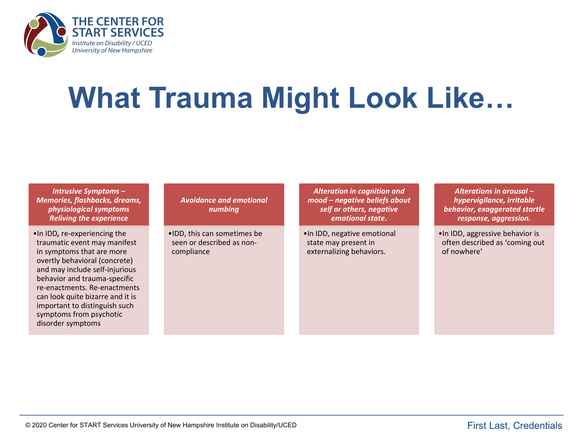

# **What Trauma Might Look Like…**

*Intrusive Symptoms – Memories, flashbacks, dreams, physiological symptoms Reliving the experience* 

•In IDD*,* re-experiencing the traumatic event may manifest in symptoms that are more overtly behavioral (concrete) and may include self-injurious behavior and trauma-specific re-enactments. Re-enactments can look quite bizarre and it is important to distinguish such symptoms from psychotic disorder symptoms

*Avoidance and emotional numbing*

•IDD, this can sometimes be seen or described as noncompliance

*Alteration in cognition and mood – negative beliefs about self or others, negative emotional state.*

•In IDD, negative emotional state may present in externalizing behaviors.

*Alterations in arousal – hypervigilance, irritable behavior, exaggerated startle response, aggression.*

•In IDD, aggressive behavior is often described as 'coming out of nowhere'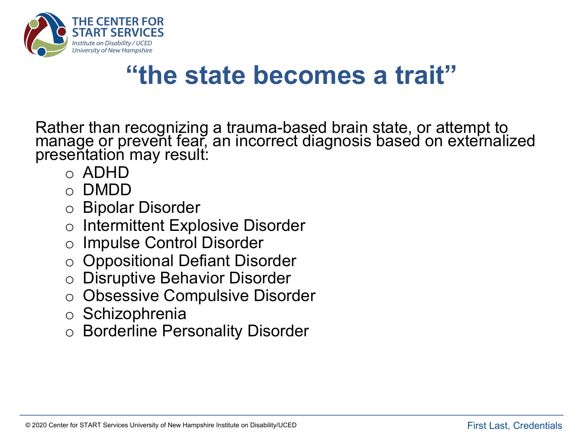

### **"the state becomes a trait"**

Rather than recognizing a trauma-based brain state, or attempt to manage or prevent fear, an incorrect diagnosis based on externalized presentation may result:

- o ADHD
- o DMDD
- o Bipolar Disorder
- Intermittent Explosive Disorder
- **Impulse Control Disorder**
- o Oppositional Defiant Disorder
- **Disruptive Behavior Disorder**
- o Obsessive Compulsive Disorder
- o Schizophrenia
- **Borderline Personality Disorder**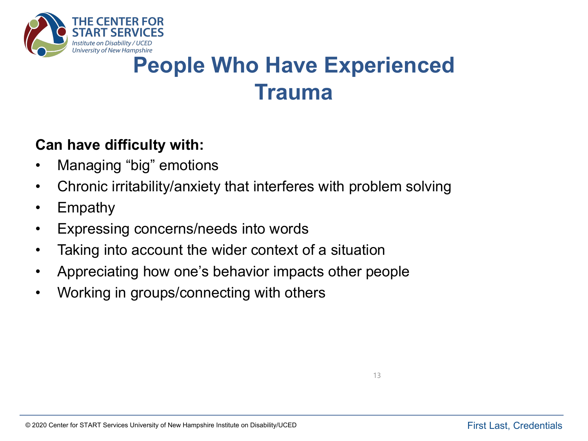

### **People Who Have Experienced Trauma**

#### **Can have difficulty with:**

- Managing "big" emotions
- Chronic irritability/anxiety that interferes with problem solving
- Empathy
- Expressing concerns/needs into words
- Taking into account the wider context of a situation
- Appreciating how one's behavior impacts other people
- Working in groups/connecting with others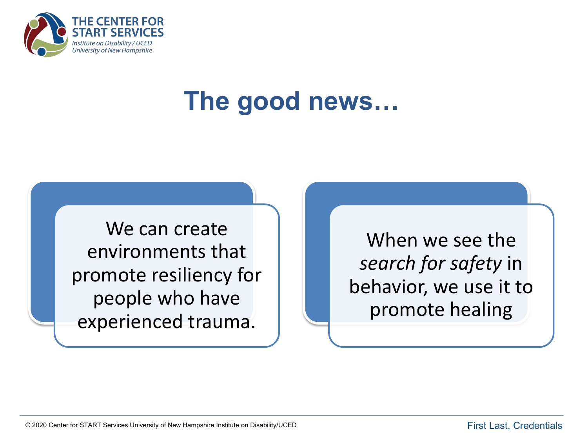

## **The good news…**

We can create environments that promote resiliency for people who have experienced trauma.

When we see the *search for safety* in behavior, we use it to promote healing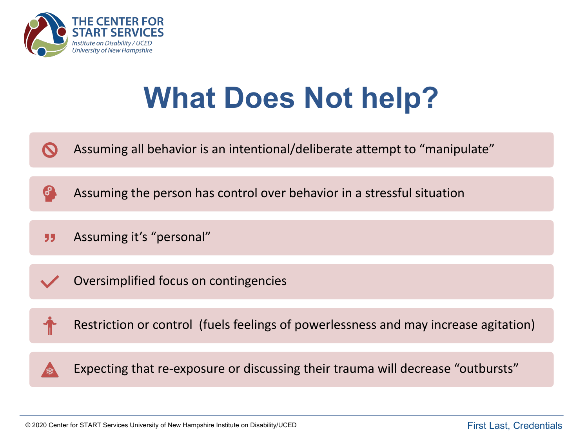

# **What Does Not help?**

Assuming all behavior is an intentional/deliberate attempt to "manipulate"

Assuming the person has control over behavior in a stressful situation

Assuming it's "personal" 55

6

Oversimplified focus on contingencies



Restriction or control (fuels feelings of powerlessness and may increase agitation)



Expecting that re-exposure or discussing their trauma will decrease "outbursts"